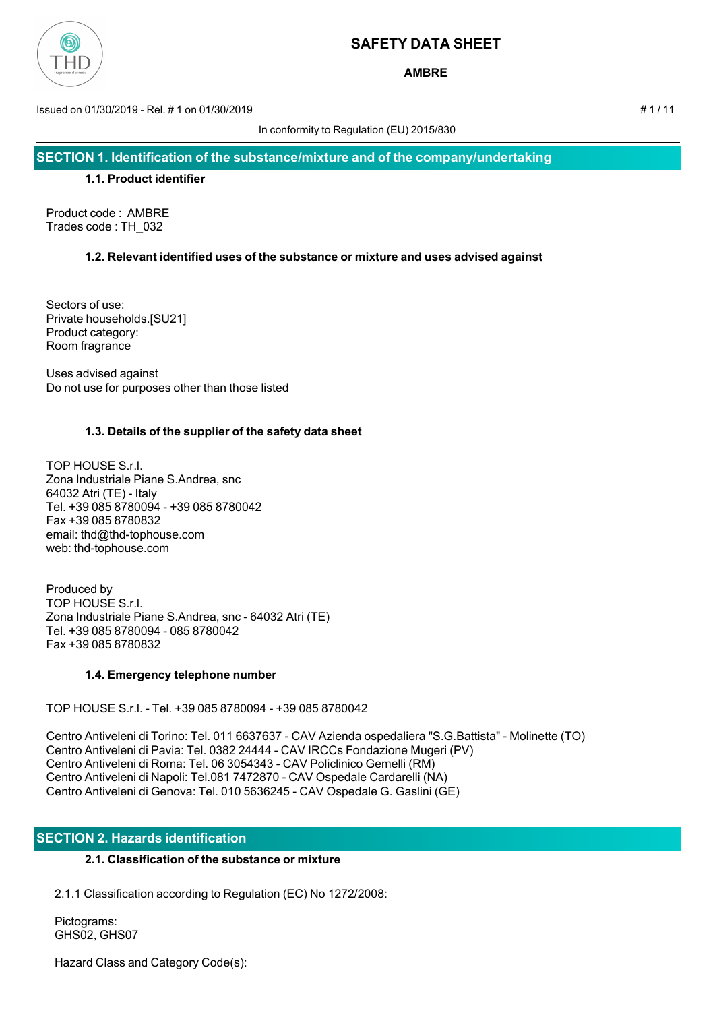

**AMBRE**

Issued on 01/30/2019 - Rel. # 1 on 01/30/2019 # 1 / 11

In conformity to Regulation (EU) 2015/830

**SECTION 1. Identification of the substance/mixture and of the company/undertaking**

#### **1.1. Product identifier**

Product code : AMBRE Trades code : TH\_032

## **1.2. Relevant identified uses of the substance or mixture and uses advised against**

Sectors of use: Private households.[SU21] Product category: Room fragrance

Uses advised against Do not use for purposes other than those listed

## **1.3. Details of the supplier of the safety data sheet**

TOP HOUSE S.r.l. Zona Industriale Piane S.Andrea, snc 64032 Atri (TE) - Italy Tel. +39 085 8780094 - +39 085 8780042 Fax +39 085 8780832 email: thd@thd-tophouse.com web: thd-tophouse.com

Produced by TOP HOUSE S.r.l. Zona Industriale Piane S.Andrea, snc - 64032 Atri (TE) Tel. +39 085 8780094 - 085 8780042 Fax +39 085 8780832

## **1.4. Emergency telephone number**

TOP HOUSE S.r.l. - Tel. +39 085 8780094 - +39 085 8780042

Centro Antiveleni di Torino: Tel. 011 6637637 - CAV Azienda ospedaliera "S.G.Battista" - Molinette (TO) Centro Antiveleni di Pavia: Tel. 0382 24444 - CAV IRCCs Fondazione Mugeri (PV) Centro Antiveleni di Roma: Tel. 06 3054343 - CAV Policlinico Gemelli (RM) Centro Antiveleni di Napoli: Tel.081 7472870 - CAV Ospedale Cardarelli (NA) Centro Antiveleni di Genova: Tel. 010 5636245 - CAV Ospedale G. Gaslini (GE)

## **SECTION 2. Hazards identification**

## **2.1. Classification of the substance or mixture**

2.1.1 Classification according to Regulation (EC) No 1272/2008:

 Pictograms: GHS02, GHS07

Hazard Class and Category Code(s):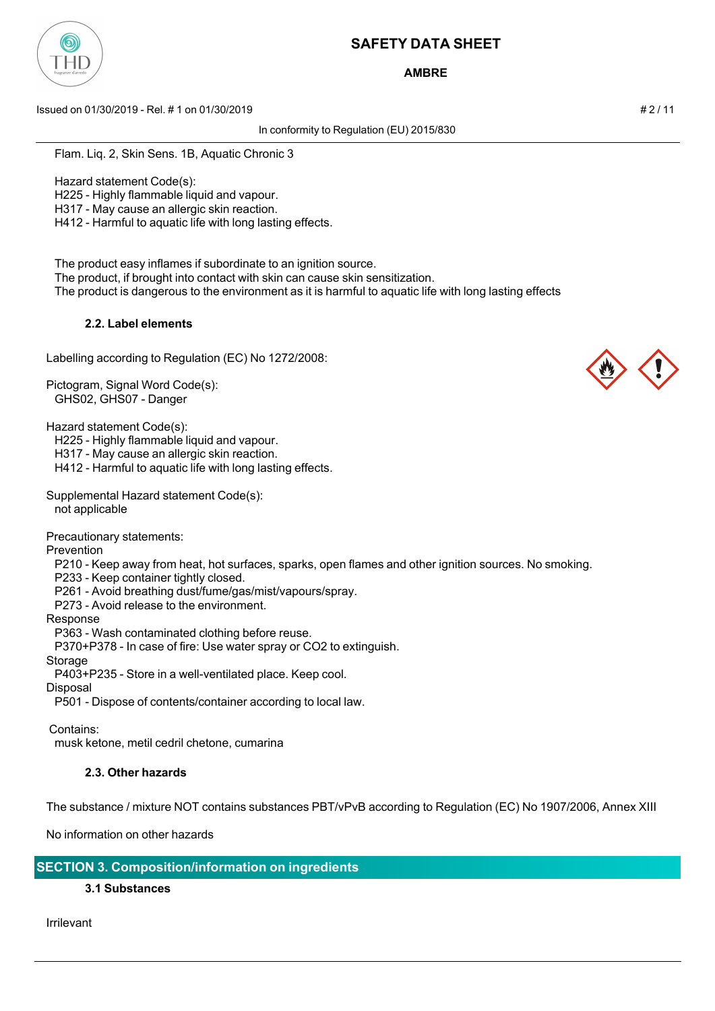

**AMBRE**

Issued on 01/30/2019 - Rel. # 1 on 01/30/2019 # 2 / 11

In conformity to Regulation (EU) 2015/830

Flam. Liq. 2, Skin Sens. 1B, Aquatic Chronic 3

Hazard statement Code(s):

H225 - Highly flammable liquid and vapour.

H317 - May cause an allergic skin reaction.

H412 - Harmful to aquatic life with long lasting effects.

The product easy inflames if subordinate to an ignition source.

The product, if brought into contact with skin can cause skin sensitization.

The product is dangerous to the environment as it is harmful to aquatic life with long lasting effects

## **2.2. Label elements**

Labelling according to Regulation (EC) No 1272/2008:

Pictogram, Signal Word Code(s): GHS02, GHS07 - Danger

Hazard statement Code(s):

H225 - Highly flammable liquid and vapour.

H317 - May cause an allergic skin reaction.

H412 - Harmful to aquatic life with long lasting effects.

Supplemental Hazard statement Code(s): not applicable

Precautionary statements:

Prevention

P210 - Keep away from heat, hot surfaces, sparks, open flames and other ignition sources. No smoking.

P233 - Keep container tightly closed.

P261 - Avoid breathing dust/fume/gas/mist/vapours/spray.

P273 - Avoid release to the environment.

Response

P363 - Wash contaminated clothing before reuse.

P370+P378 - In case of fire: Use water spray or CO2 to extinguish.

Storage

P403+P235 - Store in a well-ventilated place. Keep cool.

**Disposal** 

P501 - Dispose of contents/container according to local law.

Contains:

musk ketone, metil cedril chetone, cumarina

## **2.3. Other hazards**

The substance / mixture NOT contains substances PBT/vPvB according to Regulation (EC) No 1907/2006, Annex XIII

No information on other hazards

**SECTION 3. Composition/information on ingredients**

## **3.1 Substances**

Irrilevant



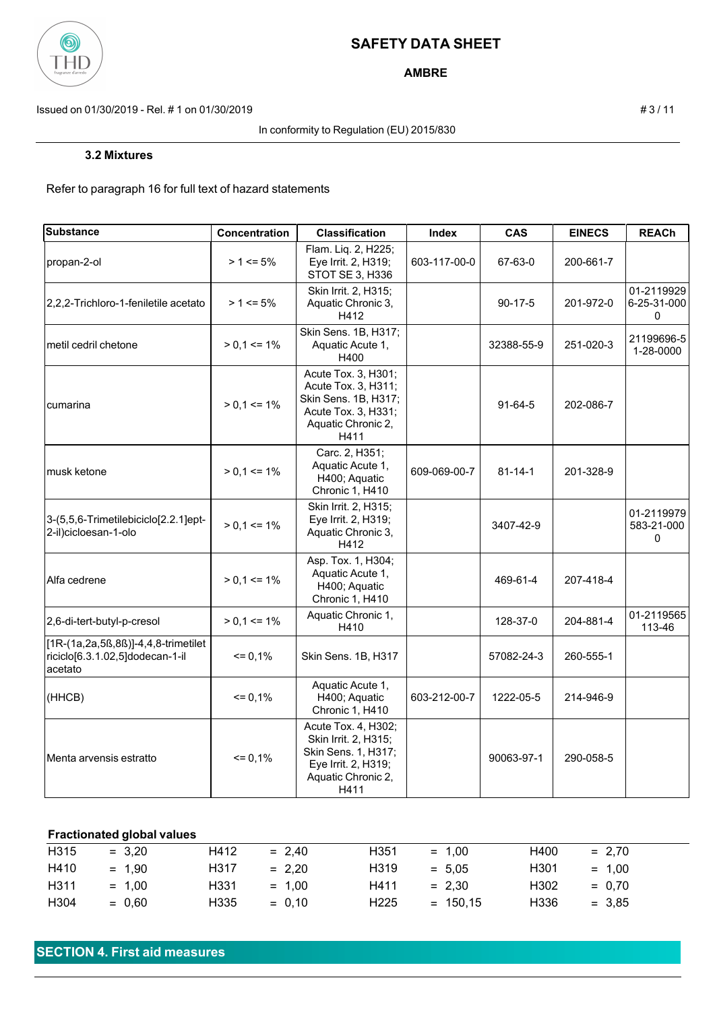

**AMBRE**

Issued on 01/30/2019 - Rel. # 1 on 01/30/2019 **# 3** / 11

#### In conformity to Regulation (EU) 2015/830

Refer to paragraph 16 for full text of hazard statements

| <b>Substance</b>                                                                  | Concentration   | <b>Classification</b>                                                                                                   | Index        | <b>CAS</b>    | <b>EINECS</b> | <b>REACh</b>                   |
|-----------------------------------------------------------------------------------|-----------------|-------------------------------------------------------------------------------------------------------------------------|--------------|---------------|---------------|--------------------------------|
| propan-2-ol                                                                       | $> 1 \le 5\%$   | Flam. Liq. 2, H225;<br>Eye Irrit. 2, H319;<br>STOT SE 3, H336                                                           | 603-117-00-0 | 67-63-0       | 200-661-7     |                                |
| l2.2.2-Trichloro-1-feniletile acetato                                             | $> 1 \le 5\%$   | Skin Irrit. 2, H315;<br>Aquatic Chronic 3,<br>H412                                                                      |              | $90 - 17 - 5$ | 201-972-0     | 01-2119929<br>6-25-31-000<br>0 |
| lmetil cedril chetone                                                             | $> 0.1 \le 1\%$ | Skin Sens. 1B, H317;<br>Aquatic Acute 1,<br>H400                                                                        |              | 32388-55-9    | 251-020-3     | 21199696-5<br>1-28-0000        |
| Icumarina                                                                         | $> 0.1 \le 1\%$ | Acute Tox. 3, H301;<br>Acute Tox. 3, H311;<br>Skin Sens. 1B, H317;<br>Acute Tox. 3, H331;<br>Aquatic Chronic 2,<br>H411 |              | $91 - 64 - 5$ | 202-086-7     |                                |
| musk ketone                                                                       | $> 0.1 \le 1\%$ | Carc. 2, H351;<br>Aquatic Acute 1,<br>H400; Aquatic<br>Chronic 1, H410                                                  | 609-069-00-7 | $81 - 14 - 1$ | 201-328-9     |                                |
| 3-(5,5,6-Trimetilebiciclo[2.2.1]ept-<br>2-il)cicloesan-1-olo                      | $> 0.1 \le 1\%$ | Skin Irrit. 2, H315;<br>Eye Irrit. 2, H319;<br>Aquatic Chronic 3,<br>H412                                               |              | 3407-42-9     |               | 01-2119979<br>583-21-000<br>0  |
| IAlfa cedrene                                                                     | $> 0.1 \le 1\%$ | Asp. Tox. 1, H304;<br>Aquatic Acute 1,<br>H400; Aquatic<br>Chronic 1, H410                                              |              | 469-61-4      | 207-418-4     |                                |
| 2,6-di-tert-butyl-p-cresol                                                        | $> 0.1 \le 1\%$ | Aquatic Chronic 1,<br>H410                                                                                              |              | 128-37-0      | 204-881-4     | 01-2119565<br>113-46           |
| [1R-(1a,2a,5ß,8ß)]-4,4,8-trimetilet<br>riciclo[6.3.1.02,5]dodecan-1-il<br>acetato | $= 0,1%$        | Skin Sens. 1B, H317                                                                                                     |              | 57082-24-3    | 260-555-1     |                                |
| (HHCB)                                                                            | $= 0,1%$        | Aquatic Acute 1,<br>H400; Aquatic<br>Chronic 1, H410                                                                    | 603-212-00-7 | 1222-05-5     | 214-946-9     |                                |
| Menta arvensis estratto                                                           | $= 0,1%$        | Acute Tox. 4, H302;<br>Skin Irrit. 2, H315;<br>Skin Sens. 1, H317;<br>Eye Irrit. 2, H319;<br>Aquatic Chronic 2,<br>H411 |              | 90063-97-1    | 290-058-5     |                                |

## **Fractionated global values**

| H315 | $= 3.20$ | H412 | $= 2.40$ | H351             | $= 1.00$   | H400 | $= 2.70$ |
|------|----------|------|----------|------------------|------------|------|----------|
| H410 | $= 1.90$ | H317 | $= 2.20$ | H319             | $= 5.05$   | H301 | $= 1.00$ |
| H311 | $= 1.00$ | H331 | $= 1.00$ | H411             | $= 2.30$   | H302 | $= 0.70$ |
| H304 | $= 0.60$ | H335 | $= 0.10$ | H <sub>225</sub> | $= 150.15$ | H336 | $= 3.85$ |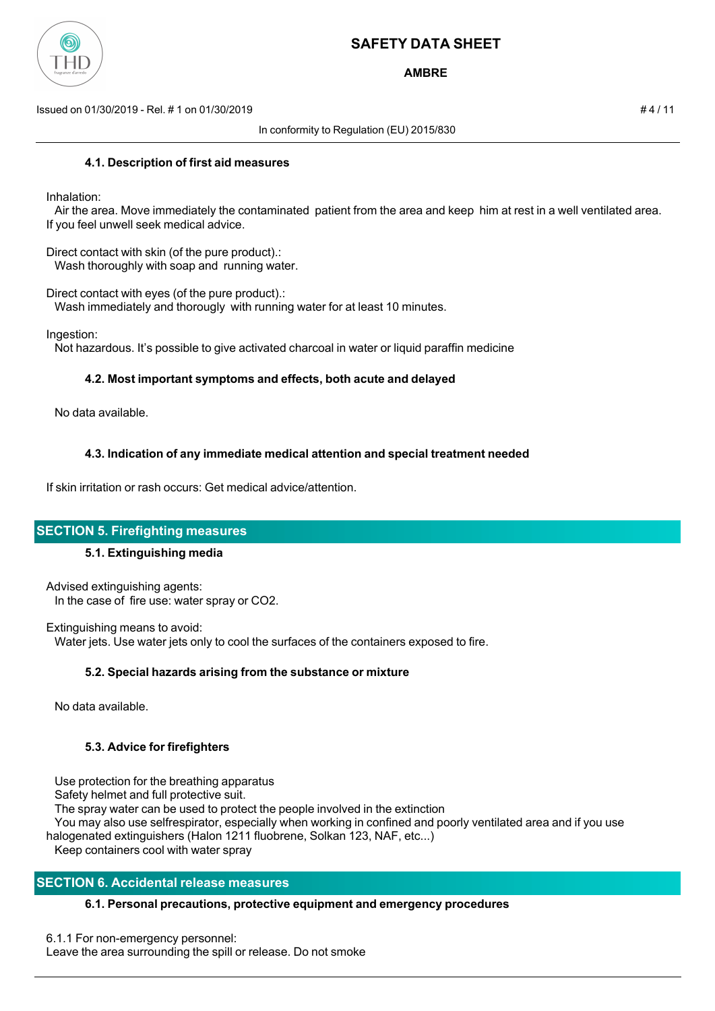

**AMBRE**

Issued on 01/30/2019 - Rel. # 1 on 01/30/2019 # 4 / 11

In conformity to Regulation (EU) 2015/830

#### **4.1. Description of first aid measures**

Inhalation:

 Air the area. Move immediately the contaminated patient from the area and keep him at rest in a well ventilated area. If you feel unwell seek medical advice.

Direct contact with skin (of the pure product).: Wash thoroughly with soap and running water.

Direct contact with eyes (of the pure product).:

Wash immediately and thorougly with running water for at least 10 minutes.

Ingestion:

Not hazardous. It's possible to give activated charcoal in water or liquid paraffin medicine

## **4.2. Most important symptoms and effects, both acute and delayed**

No data available.

## **4.3. Indication of any immediate medical attention and special treatment needed**

If skin irritation or rash occurs: Get medical advice/attention.

## **SECTION 5. Firefighting measures**

## **5.1. Extinguishing media**

Advised extinguishing agents: In the case of fire use: water spray or CO2.

Extinguishing means to avoid: Water jets. Use water jets only to cool the surfaces of the containers exposed to fire.

## **5.2. Special hazards arising from the substance or mixture**

No data available.

# **5.3. Advice for firefighters**

Use protection for the breathing apparatus

Safety helmet and full protective suit.

The spray water can be used to protect the people involved in the extinction

 You may also use selfrespirator, especially when working in confined and poorly ventilated area and if you use halogenated extinguishers (Halon 1211 fluobrene, Solkan 123, NAF, etc...)

Keep containers cool with water spray

## **SECTION 6. Accidental release measures**

## **6.1. Personal precautions, protective equipment and emergency procedures**

6.1.1 For non-emergency personnel: Leave the area surrounding the spill or release. Do not smoke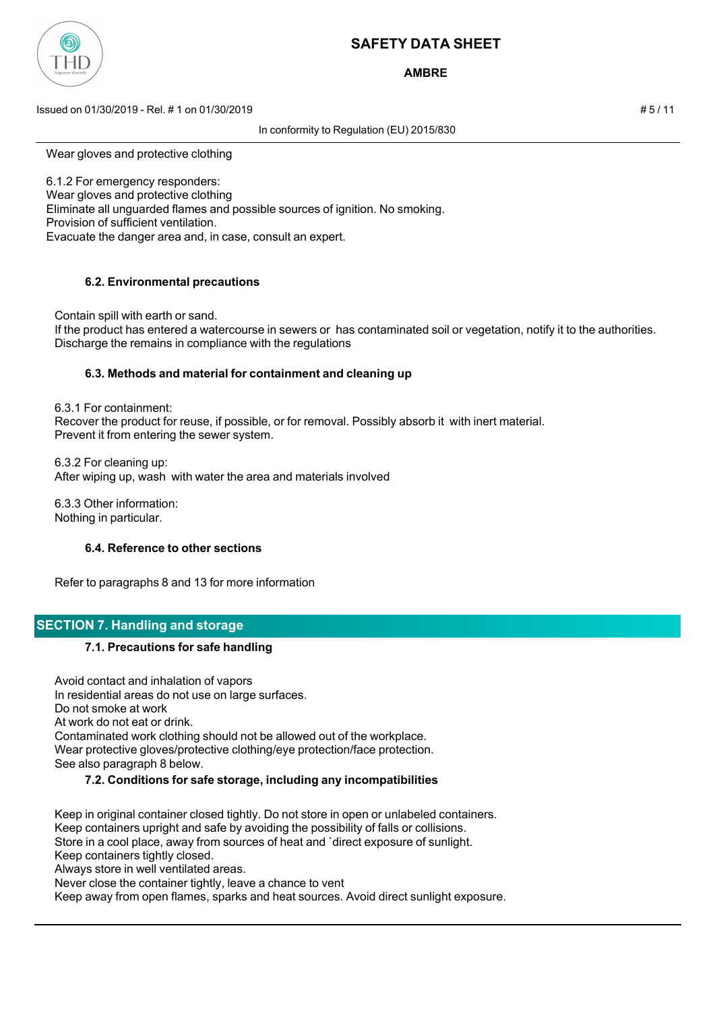

## **AMBRE**

Issued on 01/30/2019 - Rel. # 1 on 01/30/2019 # 5 / 11

In conformity to Regulation (EU) 2015/830

Wear gloves and protective clothing

6.1.2 For emergency responders: Wear gloves and protective clothing Eliminate all unguarded flames and possible sources of ignition. No smoking. Provision of sufficient ventilation. Evacuate the danger area and, in case, consult an expert.

## **6.2. Environmental precautions**

 Contain spill with earth or sand. If the product has entered a watercourse in sewers or has contaminated soil or vegetation, notify it to the authorities. Discharge the remains in compliance with the regulations

## **6.3. Methods and material for containment and cleaning up**

 6.3.1 For containment: Recover the product for reuse, if possible, or for removal. Possibly absorb it with inert material. Prevent it from entering the sewer system.

 6.3.2 For cleaning up: After wiping up, wash with water the area and materials involved

 6.3.3 Other information: Nothing in particular.

#### **6.4. Reference to other sections**

Refer to paragraphs 8 and 13 for more information

## **SECTION 7. Handling and storage**

## **7.1. Precautions for safe handling**

 Avoid contact and inhalation of vapors In residential areas do not use on large surfaces. Do not smoke at work At work do not eat or drink. Contaminated work clothing should not be allowed out of the workplace. Wear protective gloves/protective clothing/eye protection/face protection. See also paragraph 8 below.

## **7.2. Conditions for safe storage, including any incompatibilities**

 Keep in original container closed tightly. Do not store in open or unlabeled containers. Keep containers upright and safe by avoiding the possibility of falls or collisions. Store in a cool place, away from sources of heat and `direct exposure of sunlight. Keep containers tightly closed.

Always store in well ventilated areas.

Never close the container tightly, leave a chance to vent

Keep away from open flames, sparks and heat sources. Avoid direct sunlight exposure.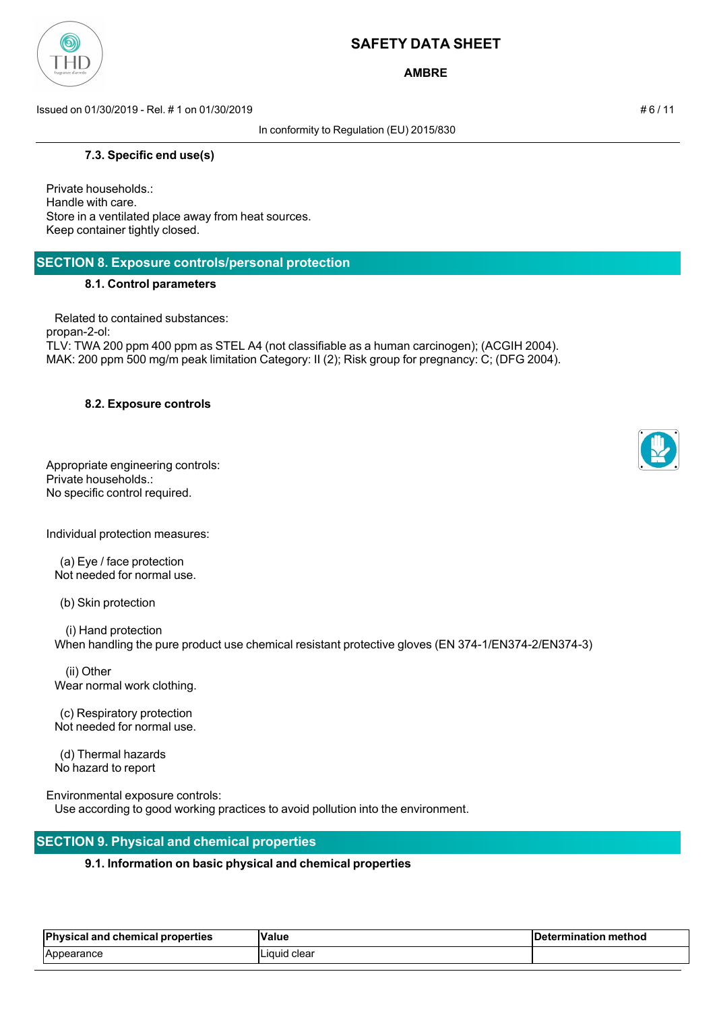

**AMBRE**

Issued on 01/30/2019 - Rel. # 1 on 01/30/2019 # 6 / 11

In conformity to Regulation (EU) 2015/830

#### **7.3. Specific end use(s)**

Private households.: Handle with care. Store in a ventilated place away from heat sources. Keep container tightly closed.

## **SECTION 8. Exposure controls/personal protection**

#### **8.1. Control parameters**

 Related to contained substances: propan-2-ol: TLV: TWA 200 ppm 400 ppm as STEL A4 (not classifiable as a human carcinogen); (ACGIH 2004). MAK: 200 ppm 500 mg/m peak limitation Category: II (2); Risk group for pregnancy: C; (DFG 2004).

## **8.2. Exposure controls**

Appropriate engineering controls: Private households.: No specific control required.

Individual protection measures:

 (a) Eye / face protection Not needed for normal use.

(b) Skin protection

 (i) Hand protection When handling the pure product use chemical resistant protective gloves (EN 374-1/EN374-2/EN374-3)

 (ii) Other Wear normal work clothing.

 (c) Respiratory protection Not needed for normal use.

 (d) Thermal hazards No hazard to report

Environmental exposure controls:

Use according to good working practices to avoid pollution into the environment.

# **SECTION 9. Physical and chemical properties**

## **9.1. Information on basic physical and chemical properties**

| <b>Physical and</b><br>l chemical properties | Value        | <b>Determination</b><br>⊧method |  |
|----------------------------------------------|--------------|---------------------------------|--|
| IAppearance                                  | ∟iquid clear |                                 |  |



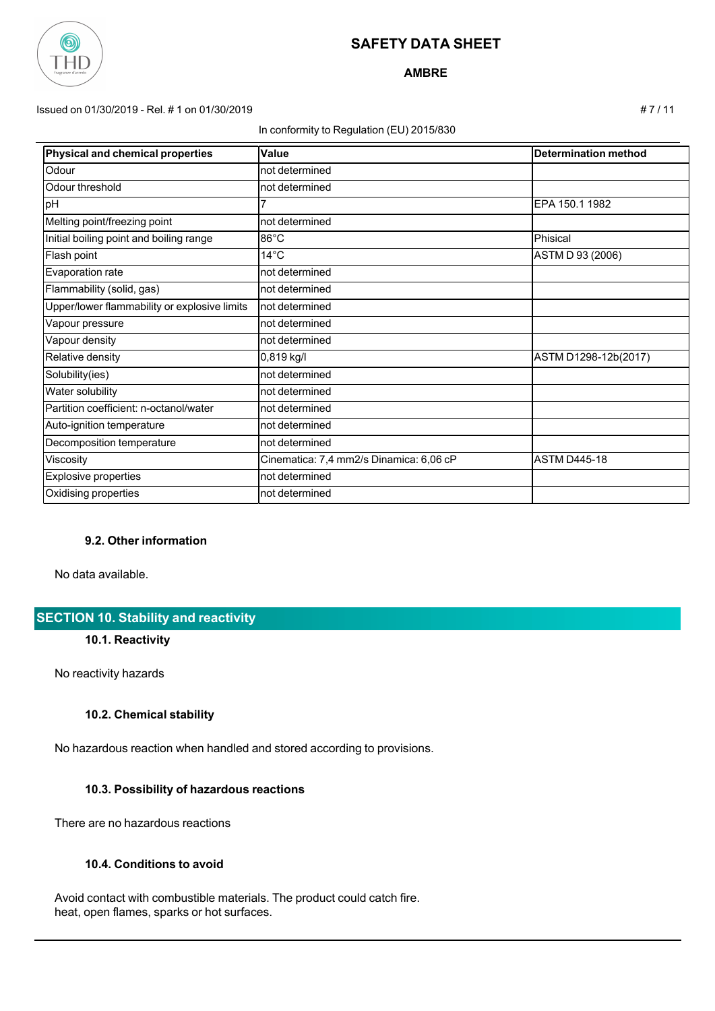

**AMBRE**

#### Issued on 01/30/2019 - Rel. # 1 on 01/30/2019 # 7 / 11

#### In conformity to Regulation (EU) 2015/830

| Physical and chemical properties             | Value                                   | <b>Determination method</b> |
|----------------------------------------------|-----------------------------------------|-----------------------------|
| Odour                                        | not determined                          |                             |
| Odour threshold                              | not determined                          |                             |
| pH                                           |                                         | EPA 150.1 1982              |
| Melting point/freezing point                 | not determined                          |                             |
| Initial boiling point and boiling range      | $86^{\circ}$ C                          | Phisical                    |
| Flash point                                  | $14^{\circ}$ C                          | ASTM D 93 (2006)            |
| Evaporation rate                             | not determined                          |                             |
| Flammability (solid, gas)                    | not determined                          |                             |
| Upper/lower flammability or explosive limits | not determined                          |                             |
| Vapour pressure                              | not determined                          |                             |
| Vapour density                               | not determined                          |                             |
| Relative density                             | 0,819 kg/l                              | ASTM D1298-12b(2017)        |
| Solubility(ies)                              | not determined                          |                             |
| Water solubility                             | not determined                          |                             |
| Partition coefficient: n-octanol/water       | not determined                          |                             |
| Auto-ignition temperature                    | not determined                          |                             |
| Decomposition temperature                    | not determined                          |                             |
| Viscosity                                    | Cinematica: 7,4 mm2/s Dinamica: 6,06 cP | <b>ASTM D445-18</b>         |
| <b>Explosive properties</b>                  | not determined                          |                             |
| Oxidising properties                         | not determined                          |                             |

## **9.2. Other information**

No data available.

## **SECTION 10. Stability and reactivity**

#### **10.1. Reactivity**

No reactivity hazards

#### **10.2. Chemical stability**

No hazardous reaction when handled and stored according to provisions.

## **10.3. Possibility of hazardous reactions**

There are no hazardous reactions

## **10.4. Conditions to avoid**

 Avoid contact with combustible materials. The product could catch fire. heat, open flames, sparks or hot surfaces.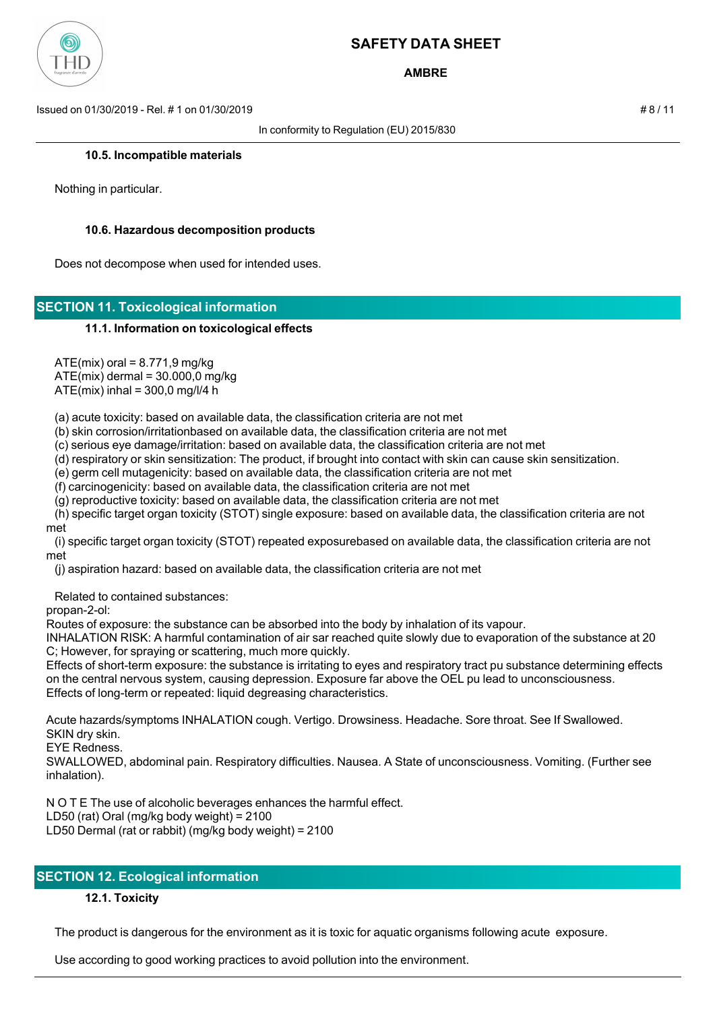

**AMBRE**

Issued on 01/30/2019 - Rel. # 1 on 01/30/2019 # 8 / 11

In conformity to Regulation (EU) 2015/830

#### **10.5. Incompatible materials**

Nothing in particular.

#### **10.6. Hazardous decomposition products**

Does not decompose when used for intended uses.

## **SECTION 11. Toxicological information**

#### **11.1. Information on toxicological effects**

 $ATE(mix)$  oral = 8.771,9 mg/kg

ATE(mix) dermal = 30.000,0 mg/kg

 $ATE(min)$  inhal = 300,0 mg/l/4 h

(a) acute toxicity: based on available data, the classification criteria are not met

(b) skin corrosion/irritationbased on available data, the classification criteria are not met

(c) serious eye damage/irritation: based on available data, the classification criteria are not met

(d) respiratory or skin sensitization: The product, if brought into contact with skin can cause skin sensitization.

(e) germ cell mutagenicity: based on available data, the classification criteria are not met

(f) carcinogenicity: based on available data, the classification criteria are not met

(g) reproductive toxicity: based on available data, the classification criteria are not met

 (h) specific target organ toxicity (STOT) single exposure: based on available data, the classification criteria are not met

 (i) specific target organ toxicity (STOT) repeated exposurebased on available data, the classification criteria are not met

(j) aspiration hazard: based on available data, the classification criteria are not met

Related to contained substances:

propan-2-ol:

Routes of exposure: the substance can be absorbed into the body by inhalation of its vapour.

INHALATION RISK: A harmful contamination of air sar reached quite slowly due to evaporation of the substance at 20 C; However, for spraying or scattering, much more quickly.

Effects of short-term exposure: the substance is irritating to eyes and respiratory tract pu substance determining effects on the central nervous system, causing depression. Exposure far above the OEL pu lead to unconsciousness. Effects of long-term or repeated: liquid degreasing characteristics.

Acute hazards/symptoms INHALATION cough. Vertigo. Drowsiness. Headache. Sore throat. See If Swallowed. SKIN dry skin.

EYE Redness.

SWALLOWED, abdominal pain. Respiratory difficulties. Nausea. A State of unconsciousness. Vomiting. (Further see inhalation).

N O T E The use of alcoholic beverages enhances the harmful effect.

LD50 (rat) Oral (mg/kg body weight) = 2100

LD50 Dermal (rat or rabbit) (mg/kg body weight) = 2100

# **SECTION 12. Ecological information**

## **12.1. Toxicity**

The product is dangerous for the environment as it is toxic for aquatic organisms following acute exposure.

Use according to good working practices to avoid pollution into the environment.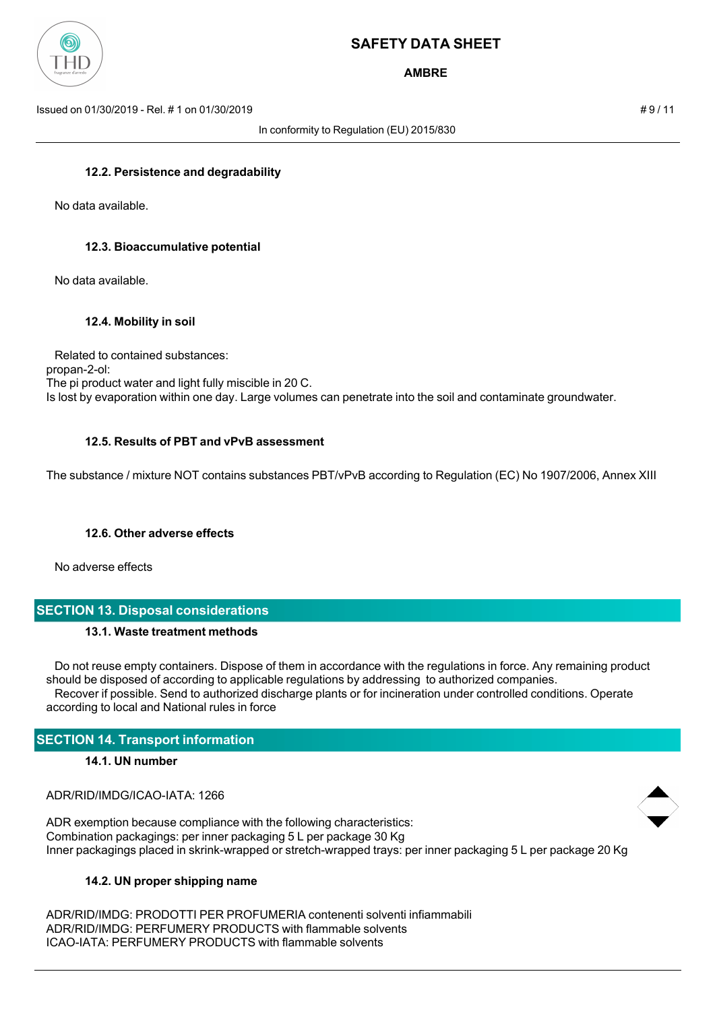

**AMBRE**

Issued on 01/30/2019 - Rel. # 1 on 01/30/2019 # 9 / 11

In conformity to Regulation (EU) 2015/830

#### **12.2. Persistence and degradability**

No data available.

#### **12.3. Bioaccumulative potential**

No data available.

#### **12.4. Mobility in soil**

 Related to contained substances: propan-2-ol: The pi product water and light fully miscible in 20 C. Is lost by evaporation within one day. Large volumes can penetrate into the soil and contaminate groundwater.

#### **12.5. Results of PBT and vPvB assessment**

The substance / mixture NOT contains substances PBT/vPvB according to Regulation (EC) No 1907/2006, Annex XIII

#### **12.6. Other adverse effects**

No adverse effects

# **SECTION 13. Disposal considerations**

#### **13.1. Waste treatment methods**

 Do not reuse empty containers. Dispose of them in accordance with the regulations in force. Any remaining product should be disposed of according to applicable regulations by addressing to authorized companies. Recover if possible. Send to authorized discharge plants or for incineration under controlled conditions. Operate according to local and National rules in force

## **SECTION 14. Transport information**

#### **14.1. UN number**

ADR/RID/IMDG/ICAO-IATA: 1266

ADR exemption because compliance with the following characteristics: Combination packagings: per inner packaging 5 L per package 30 Kg Inner packagings placed in skrink-wrapped or stretch-wrapped trays: per inner packaging 5 L per package 20 Kg

#### **14.2. UN proper shipping name**

ADR/RID/IMDG: PRODOTTI PER PROFUMERIA contenenti solventi infiammabili ADR/RID/IMDG: PERFUMERY PRODUCTS with flammable solvents ICAO-IATA: PERFUMERY PRODUCTS with flammable solvents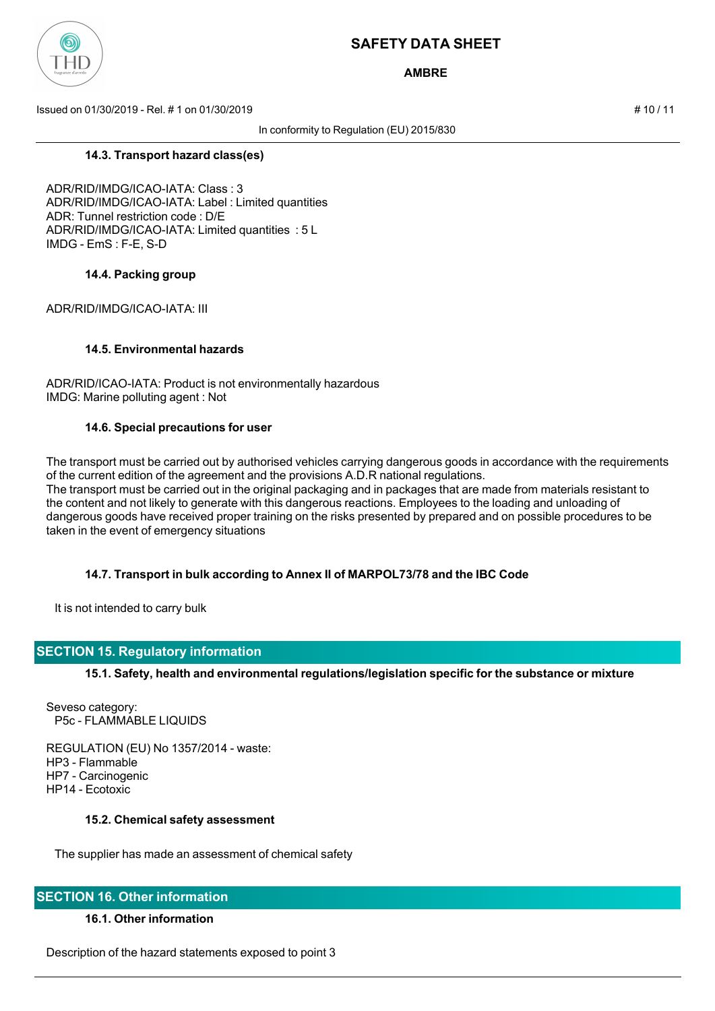

**AMBRE**

Issued on 01/30/2019 - Rel. # 1 on 01/30/2019 # 10 / 11

In conformity to Regulation (EU) 2015/830

**14.3. Transport hazard class(es)**

ADR/RID/IMDG/ICAO-IATA: Class : 3 ADR/RID/IMDG/ICAO-IATA: Label : Limited quantities ADR: Tunnel restriction code : D/E ADR/RID/IMDG/ICAO-IATA: Limited quantities : 5 L IMDG - EmS : F-E, S-D

#### **14.4. Packing group**

ADR/RID/IMDG/ICAO-IATA: III

#### **14.5. Environmental hazards**

ADR/RID/ICAO-IATA: Product is not environmentally hazardous IMDG: Marine polluting agent : Not

#### **14.6. Special precautions for user**

The transport must be carried out by authorised vehicles carrying dangerous goods in accordance with the requirements of the current edition of the agreement and the provisions A.D.R national regulations. The transport must be carried out in the original packaging and in packages that are made from materials resistant to the content and not likely to generate with this dangerous reactions. Employees to the loading and unloading of dangerous goods have received proper training on the risks presented by prepared and on possible procedures to be taken in the event of emergency situations

## **14.7. Transport in bulk according to Annex II of MARPOL73/78 and the IBC Code**

It is not intended to carry bulk

## **SECTION 15. Regulatory information**

**15.1. Safety, health and environmental regulations/legislation specific for the substance or mixture**

Seveso category: P5c - FLAMMABLE LIQUIDS

REGULATION (EU) No 1357/2014 - waste: HP3 - Flammable HP7 - Carcinogenic HP14 - Ecotoxic

#### **15.2. Chemical safety assessment**

The supplier has made an assessment of chemical safety

## **SECTION 16. Other information**

#### **16.1. Other information**

Description of the hazard statements exposed to point 3